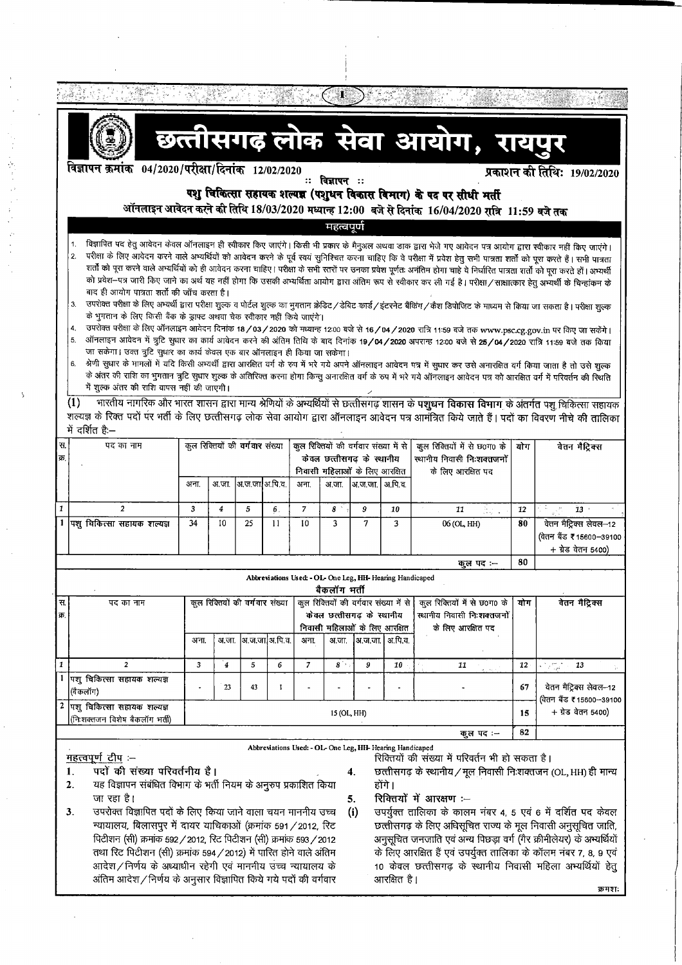|                                                                                     | छत्तीसगढ़ लोक सेवा आयोग, रायपुर                                                                                                                                                                                                                                                                                                                                                                                                                                                                                                                                                                                                                                                                                                                                                                                                                                                                                                                                                                                                                                                                                                                                                                                                                                                                                                                                                                                                     |                                 |                  |                                 |                  |                                                                                                      |                                                                           |                      |         |                                                                                        |     |                                                                         |
|-------------------------------------------------------------------------------------|-------------------------------------------------------------------------------------------------------------------------------------------------------------------------------------------------------------------------------------------------------------------------------------------------------------------------------------------------------------------------------------------------------------------------------------------------------------------------------------------------------------------------------------------------------------------------------------------------------------------------------------------------------------------------------------------------------------------------------------------------------------------------------------------------------------------------------------------------------------------------------------------------------------------------------------------------------------------------------------------------------------------------------------------------------------------------------------------------------------------------------------------------------------------------------------------------------------------------------------------------------------------------------------------------------------------------------------------------------------------------------------------------------------------------------------|---------------------------------|------------------|---------------------------------|------------------|------------------------------------------------------------------------------------------------------|---------------------------------------------------------------------------|----------------------|---------|----------------------------------------------------------------------------------------|-----|-------------------------------------------------------------------------|
|                                                                                     | विज्ञापन क्रमांक   04/2020/परीक्षा/दिनांक   12/02/2020                                                                                                                                                                                                                                                                                                                                                                                                                                                                                                                                                                                                                                                                                                                                                                                                                                                                                                                                                                                                                                                                                                                                                                                                                                                                                                                                                                              |                                 |                  |                                 |                  |                                                                                                      |                                                                           |                      |         |                                                                                        |     |                                                                         |
|                                                                                     | प्रकाशन की तिथि: 19/02/2020<br>ः विज्ञापन ः                                                                                                                                                                                                                                                                                                                                                                                                                                                                                                                                                                                                                                                                                                                                                                                                                                                                                                                                                                                                                                                                                                                                                                                                                                                                                                                                                                                         |                                 |                  |                                 |                  |                                                                                                      |                                                                           |                      |         |                                                                                        |     |                                                                         |
|                                                                                     | पशु चिकित्सा सहायक शल्यज्ञ (पशुधन विकास विमाग) के पद पर सीधी मर्ती                                                                                                                                                                                                                                                                                                                                                                                                                                                                                                                                                                                                                                                                                                                                                                                                                                                                                                                                                                                                                                                                                                                                                                                                                                                                                                                                                                  |                                 |                  |                                 |                  |                                                                                                      |                                                                           |                      |         |                                                                                        |     |                                                                         |
|                                                                                     | आॅनलाइन आवेदन करने की तिथि 18/03/2020 मध्यान्ह 12:00 बजे से दिनांक 16/04/2020 रात्रि 11:59 बजे तक<br><u>महत्वपूर्ण</u>                                                                                                                                                                                                                                                                                                                                                                                                                                                                                                                                                                                                                                                                                                                                                                                                                                                                                                                                                                                                                                                                                                                                                                                                                                                                                                              |                                 |                  |                                 |                  |                                                                                                      |                                                                           |                      |         |                                                                                        |     |                                                                         |
|                                                                                     |                                                                                                                                                                                                                                                                                                                                                                                                                                                                                                                                                                                                                                                                                                                                                                                                                                                                                                                                                                                                                                                                                                                                                                                                                                                                                                                                                                                                                                     |                                 |                  |                                 |                  |                                                                                                      |                                                                           |                      |         |                                                                                        |     |                                                                         |
|                                                                                     | विज्ञापित पद हेतु आवेदन केवल ऑनलाइन ही स्वीकार किए जाएंगे। किसी भी प्रकार के मैनुअल अथवा डाक द्वारा भेजे गए आवेदन पत्र आयोग द्वारा स्वीकार नहीं किए जाएंगे।<br>परीक्षा के लिए आवेदन करने वाले अभ्यर्थियों को आवेदन करने के पूर्व स्वयं सुनिश्चित करना चाहिए कि वे परीक्षा में प्रवेश हेतु सभी पात्रता शर्तों को पूरा करते हैं। सभी पात्रता<br>2.<br>शर्तो को पूरा करने वाले अभ्यर्थियों को ही आवेदन करना चाहिए। परीक्षा के सभी स्तरों पर उनका प्रवेश पूर्णतः अनंतिम होगा चाहे वे निर्धारित पात्रता शर्तों को पूरा करते हों। अभ्यर्थी<br>को प्रवेश–पत्र जारी किए जाने का अर्थ यह नहीं होगा कि उसकी अभ्यर्थिता आयोग द्वारा अंतिम रूप से स्वीकार कर ली गई है। परीक्षा/साक्षात्कार हेतु अभ्यर्थी के चिन्हांकन के<br>बाद ही आयोग पात्रता शर्तों की जाँच करता है।<br>उपरोक्त परीक्षा के लिए अभ्यर्थी द्वारा परीक्षा शुल्क व पोर्टल शुल्क का भुगतान क्रेडिट / डेबिट कार्ड / इंटरनेट बैंकिंग / कैश डिपोजिट के माध्यम से किया जा सकता है। परीक्षा शुल्क<br>3.<br>के भुगतान के लिए किसी बैंक के ड्राफ्ट अथवा चेक स्वीकार नहीं किये जाएंगे।<br>उपरोक्त परीक्षा के लिए ऑनलाइन आवेदन दिनांक 18/03/2020 को मध्यान्ह 12:00 बजे से 16/04/2020 रात्रि 11:59 बजे तक www.psc.cg.gov.in पर किए जा सकेंगे।<br>4.<br>ऑनलाइन आवेदन में त्रूटि सुधार का कार्य आवेदन करने की अंतिम तिथि के बाद दिनांक 19/04/2020 अपरान्ह 12:00 बजे से 25/04/2020 रात्रि 11:59 बजे तक किया<br>5.<br>जा सकेगा। उक्त त्रुटि सुधार का कार्य केवल एक बार ऑनलाइन ही किया जा सकेगा। |                                 |                  |                                 |                  |                                                                                                      |                                                                           |                      |         |                                                                                        |     |                                                                         |
|                                                                                     | श्रेणी सुधार के मामलों में यदि किसी अभ्यर्थी द्वारा आरक्षित वर्ग के रूप में भरे गये अपने ऑनलाइन पत्र में सुधार कर उसे अनारक्षित वर्ग किया जाता है तो उसे शुल्क<br>6.<br>के अंतर की राशि का भुगतान त्रुटि सुधार शुल्क के अतिरिक्त करना होगा किन्तु अनारक्षित वर्ग के रूप में भरे गये ऑनलाइन आवेदन पत्र को आरक्षित वर्ग में परिवर्तन की स्थिति<br>में शुल्क अंतर की राशि वापस नहीं की जाएगी।                                                                                                                                                                                                                                                                                                                                                                                                                                                                                                                                                                                                                                                                                                                                                                                                                                                                                                                                                                                                                                          |                                 |                  |                                 |                  |                                                                                                      |                                                                           |                      |         |                                                                                        |     |                                                                         |
|                                                                                     | भारतीय नागरिक और भारत शासन द्वारा मान्य श्रेणियों के अभ्यर्थियों से छत्तीसगढ़ शासन के पशुधन विकास विभाग के अंतर्गत पशु चिकित्सा सहायक<br>$\left(1\right)$<br>शल्यज्ञ के रिक्त पदों पर भर्ती के लिए छत्तीसगढ़ लोक सेवा आयोग द्वारा ऑनलाइन आवेदन पत्र आमंत्रित किये जाते हैं। पदों का विवरण नीचे की तालिका<br>में दर्शित है:--                                                                                                                                                                                                                                                                                                                                                                                                                                                                                                                                                                                                                                                                                                                                                                                                                                                                                                                                                                                                                                                                                                        |                                 |                  |                                 |                  |                                                                                                      |                                                                           |                      |         |                                                                                        |     |                                                                         |
| स.<br>क्र.                                                                          | पद का नाम                                                                                                                                                                                                                                                                                                                                                                                                                                                                                                                                                                                                                                                                                                                                                                                                                                                                                                                                                                                                                                                                                                                                                                                                                                                                                                                                                                                                                           | कुल रिक्तियों की वर्गवार संख्या |                  |                                 |                  | कुल रिक्तियों की वर्गवार संख्या में से<br>केवल छत्तीसगढ़ के स्थानीय<br>निवासी महिलाओं के लिए आरक्षित |                                                                           |                      |         | कुल रिक्तियों में से छ0ग0 के<br>स्थानीय निवासी निःशक्तजनों<br>के लिए आरक्षित पद        | योग | वेतन मैट्रिक्स                                                          |
|                                                                                     |                                                                                                                                                                                                                                                                                                                                                                                                                                                                                                                                                                                                                                                                                                                                                                                                                                                                                                                                                                                                                                                                                                                                                                                                                                                                                                                                                                                                                                     | अना.                            | अ जा.            | अ.ज.जा]अ.पि.व.                  |                  | अना.                                                                                                 | अ.जा.                                                                     | अ.ज.जा.  अ.पि.व.     |         |                                                                                        |     |                                                                         |
| $\mathbf{1}$                                                                        | $\mathfrak{p}$                                                                                                                                                                                                                                                                                                                                                                                                                                                                                                                                                                                                                                                                                                                                                                                                                                                                                                                                                                                                                                                                                                                                                                                                                                                                                                                                                                                                                      | 3                               | $\overline{4}$   | 5                               | 6.               | $\overline{7}$                                                                                       | 8                                                                         | 9                    | 10      | 동도<br>11                                                                               | 12  | 한 일 나는<br><b>13</b>                                                     |
|                                                                                     | 1 पशु चिकित्सा सहायक शल्यज्ञ                                                                                                                                                                                                                                                                                                                                                                                                                                                                                                                                                                                                                                                                                                                                                                                                                                                                                                                                                                                                                                                                                                                                                                                                                                                                                                                                                                                                        | 34                              | 10 <sup>10</sup> | 25                              | 11               | 10                                                                                                   | 3                                                                         | 7                    | 3       | 06 (OL, HH)                                                                            | 80  | वेतन मैट्रिक्स लेवल-12<br>(वेतन बैंड ₹15600-39100<br>+ ग्रेड वेतन 5400) |
|                                                                                     |                                                                                                                                                                                                                                                                                                                                                                                                                                                                                                                                                                                                                                                                                                                                                                                                                                                                                                                                                                                                                                                                                                                                                                                                                                                                                                                                                                                                                                     |                                 |                  |                                 |                  |                                                                                                      |                                                                           |                      |         | कुल पद :--                                                                             | 80  |                                                                         |
|                                                                                     |                                                                                                                                                                                                                                                                                                                                                                                                                                                                                                                                                                                                                                                                                                                                                                                                                                                                                                                                                                                                                                                                                                                                                                                                                                                                                                                                                                                                                                     |                                 |                  |                                 |                  |                                                                                                      | Abbreviations Used: - OL- One Leg, HH- Hearing Handicaped<br>बैकलॉग भर्ती |                      |         |                                                                                        |     |                                                                         |
| स.<br>क्र.                                                                          | पद का नाम                                                                                                                                                                                                                                                                                                                                                                                                                                                                                                                                                                                                                                                                                                                                                                                                                                                                                                                                                                                                                                                                                                                                                                                                                                                                                                                                                                                                                           |                                 |                  | कुल रिक्तियों की वर्गवार संख्या |                  | कुल रिक्तियों की वर्गवार संख्या में से<br>केवल छत्तीसगढ़ के स्थानीय<br>निवासी महिलाओं के लिए आरक्षित |                                                                           |                      |         | कुल रिक्तियों में से छ0ग0 के<br>योग<br>स्थानीय निवासी निःशक्तजनों<br>के लिए आरक्षित पद |     | वेतन मैट्रिक्स                                                          |
|                                                                                     |                                                                                                                                                                                                                                                                                                                                                                                                                                                                                                                                                                                                                                                                                                                                                                                                                                                                                                                                                                                                                                                                                                                                                                                                                                                                                                                                                                                                                                     | अना.                            | अ.जा.            |                                 | अ.ज.जा. अ.पि. व. | अना.                                                                                                 | अ.जा.                                                                     | अ.ज.जा.              | अ.पि.व. |                                                                                        |     |                                                                         |
| $\mathbf{1}$                                                                        | $\overline{2}$                                                                                                                                                                                                                                                                                                                                                                                                                                                                                                                                                                                                                                                                                                                                                                                                                                                                                                                                                                                                                                                                                                                                                                                                                                                                                                                                                                                                                      | 3                               | $\boldsymbol{4}$ | 5                               | 6                | $\overline{\phantom{a}}$                                                                             | $8^{\circ}$                                                               | 9                    | 10      | 11                                                                                     | 12  | ما سوالۍ<br>افغان کې<br>13                                              |
|                                                                                     | 1 पिशु चिकित्सा सहायक शल्यज्ञ<br>(बैकलॉग)                                                                                                                                                                                                                                                                                                                                                                                                                                                                                                                                                                                                                                                                                                                                                                                                                                                                                                                                                                                                                                                                                                                                                                                                                                                                                                                                                                                           |                                 | 23               | 43                              | 1                |                                                                                                      |                                                                           |                      |         |                                                                                        | 67  | वेतन मैट्रिक्स लेवल-12<br>(वेतन बैंड ₹15600-39100                       |
| 2 पशु चिकित्सा सहायक शल्यज्ञ<br>15 (OL, HH)<br>15<br>(निःशक्तजन विशेष बैकलॉग भर्ती) |                                                                                                                                                                                                                                                                                                                                                                                                                                                                                                                                                                                                                                                                                                                                                                                                                                                                                                                                                                                                                                                                                                                                                                                                                                                                                                                                                                                                                                     |                                 |                  |                                 |                  |                                                                                                      |                                                                           | $+$ ग्रेड वेतन 5400) |         |                                                                                        |     |                                                                         |
|                                                                                     |                                                                                                                                                                                                                                                                                                                                                                                                                                                                                                                                                                                                                                                                                                                                                                                                                                                                                                                                                                                                                                                                                                                                                                                                                                                                                                                                                                                                                                     |                                 |                  |                                 |                  |                                                                                                      |                                                                           |                      |         | कुल पद:--                                                                              | 82  |                                                                         |
|                                                                                     | Abbreviations Used: - OL- One Leg, HH- Hearing Handicaped<br><u>महत्त्वपूर्ण टीप</u> :-<br>रिक्तियों की संख्या में परिवर्तन भी हो सकता है।<br>पदों की संख्या परिवर्तनीय है।<br>छत्तीसगढ़ के स्थानीय / मूल निवासी निःशक्तजन (OL, HH) ही मान्य<br>1.<br>4.<br>यह विज्ञापन संबंधित विभाग के भर्ती नियम के अनुरुप प्रकाशित किया<br>होंगे ।<br>2.<br>रिक्तियों में आरक्षण :--<br>जा रहा है।<br>5.                                                                                                                                                                                                                                                                                                                                                                                                                                                                                                                                                                                                                                                                                                                                                                                                                                                                                                                                                                                                                                        |                                 |                  |                                 |                  |                                                                                                      |                                                                           |                      |         |                                                                                        |     |                                                                         |

- उपरोक्त विज्ञापित पदों के लिए किया जाने वाला चयन माननीय उच्च 3. न्यायालय, बिलासपुर में दायर याचिकाओं (क्रमांक 591 / 2012, रिट पिटीशन (सी) क्रमांक 592 / 2012, रिट पिटीशन (सी) क्रमांक 593 / 2012 तथा रिट पिटीशन (सी) क्रमांक 594 / 2012) में पारित होने वाले अंतिम आदेश/निर्णय के अध्याधीन रहेगी एवं माननीय उच्च न्यायालय के अंतिम आदेश/निर्णय के अनुसार विज्ञापित किये गये पदों की वर्गवार
- उपर्युक्त तालिका के कालम नंबर 4, 5 एवं 6 में दर्शित पद केवल  $(i)$ छत्तीसगढ़ के लिए अधिसूचित राज्य के मूल निवासी अनुसूचित जाति, अनुसूचित जनजाति एवं अन्य पिछड़ा वर्ग (गैर क्रीमीलेयर) के अभ्यर्थियों के लिए आरक्षित हैं एवं उपर्युक्त तालिका के कॉलम नंबर 7, 8, 9 एवं 10 केवल छत्तीसगढ़ के स्थानीय निवासी महिला अभ्यर्थियों हेतु आरक्षित है। क्रमशः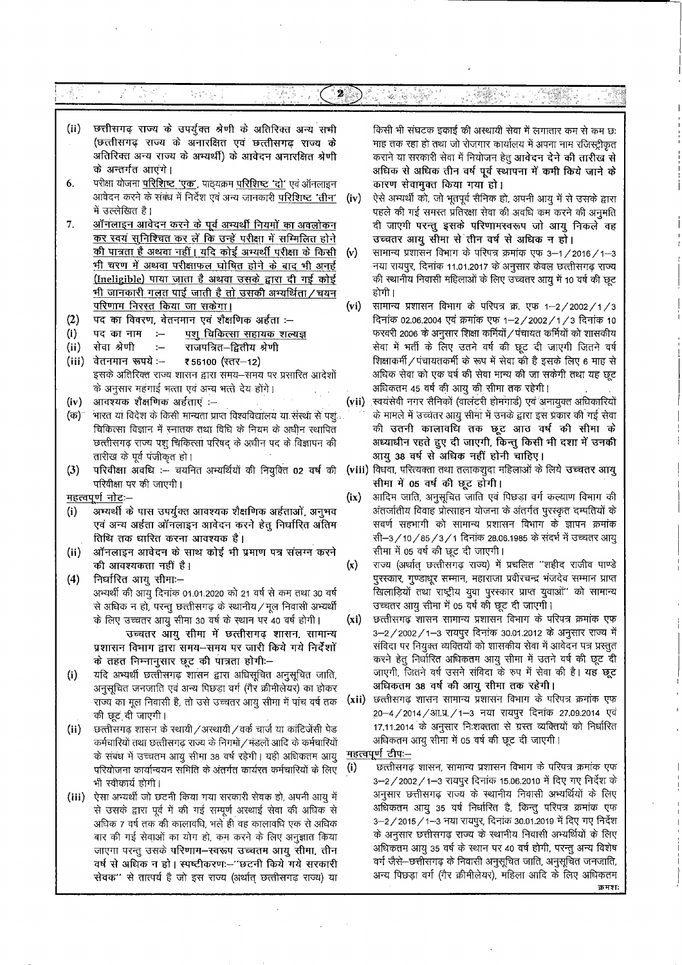#### $\mathbb{E}_{\mathbf{a}}[\xi^{\prime}] \mathbb{E}_{\mathbf{a}}[\xi]$  $\boldsymbol{2}$ 2.多数なのは、 i teresa

- $(ii)$ छत्तीसगढ़ राज्य के उपर्युक्त श्रेणी के अतिरिक्त अन्य सभी (छत्तीसगढ़ राज्य के अनारक्षित एवं छत्तीसगढ़ राज्य के अतिरिक्त अन्य राज्य के अभ्यर्थी) के आवेदन अनारक्षित श्रेणी के अन्तर्गत आएंगे।
- परीक्षा योजना परिशिष्ट 'एक', पाठ्यक्रम परिशिष्ट 'दो' एवं ऑनलाइन 6. आवेदन करने के संबंध में निर्देश एवं अन्य जानकारी परिशिष्ट 'तीन' (iv) में उल्लेखित है।
- 7. ऑनलाइन आवेदन करने के पूर्व अभ्यर्थी नियमों का अवलोकन कर स्वयं सुनिश्चित कर लें कि उन्हें परीक्षा में सम्मिलित होने <u>की पात्रता है अथवा नहीं। यदि कोई अभ्यर्थी परीक्षा के किसी</u> (v) भी चरण में अथवा परीक्षाफल घोषित होने के बाद भी अनर्ह (Ineligible) पाया जाता है अथवा उसके द्वारा दी गई कोई <u>भी जानकारी गलत पाई जाती है तो उसकी अभ्यर्थिता / चयन</u> परिणाम निरस्त किया जा सकेगा।
- $(2)$ पद का विवरण, वेतनमान एवं शैक्षणिक अर्हता :--
- $(i)$ पद का नाम  $\sim$ <u>पशु चिकित्सा सहायक शल्यज्ञ</u>
- $(ii)$ सेवा श्रेणी  $\sim$ राजपत्रित–द्वितीय श्रेणी
- $(iii)$ वेतनमान रूपये :--₹56100 (स्तर-12) इसके अतिरिक्त राज्य शासन द्वारा समय-समय पर प्रसारित आदेशों के अनुसार महंगाई भत्ता एवं अन्य भत्ते देय होंगे।
- $(iv)$ आवश्यक शैक्षणिक अर्हताएं :--
- भारत या विदेश के किसी मान्यता प्राप्त विश्वविद्यालय या संस्था से पशु (क) चिकित्सा विज्ञान में रनातक तथा विधि के नियम के अधीन रथापित छत्तीसगढ़ राज्य पशु चिकित्सा परिषद् के अधीन पद के विज्ञापन की तारीख के पूर्व पंजीकृत हो।
- परिवीक्षा अवधि :-- चयनित अभ्यर्थियों की नियुक्ति 02 वर्ष की  $(3)$ परिवीक्षा पर की जाएगी।

<u>महत्वपूर्ण नोट</u>:–

- अभ्यर्थी के पास उपर्युक्त आवश्यक शैक्षणिक अर्हताओं, अनुभव  $(i)$ एवं अन्य अर्हता ऑनलाइन आवेदन करने हेतु निर्धारित अंतिम तिथि तक धारित करना आवश्यक है।
- $(ii)$ ऑनलाइन आवेदन के साथ कोई भी प्रमाण पत्र संलग्न करने की आवश्यकता नहीं है।
- $(4)$ निर्धारित आयु सीमाः– अभ्यर्थी की आयु दिनांक 01.01.2020 को 21 वर्ष से कम तथा 30 वर्ष से अधिक न हो, परन्तु छत्तीसगढ़ के स्थानीय / मूल निवासी अभ्यर्थी के लिए उच्चतर आयु सीमा 30 वर्ष के स्थान पर 40 वर्ष होगी। उच्चतर आयु सीमा में छत्तीसगढ़ शासन, सामान्य
	- प्रशासन विभाग द्वारा समय-समय पर जारी किये गये निर्देशों के तहत निम्नानुसार छूट की पात्रता होगी:-
- यदि अभ्यर्थी छत्तीसगढ़ शासन द्वारा अधिसूचित अनुसूचित जाति,  $(i)$ अनुसूचित जनजाति एवं अन्य पिछड़ा वर्ग (गैर क्रीमीलेयर) का होकर राज्य का मूल निवासी है, तो उसे उच्चतर आयु सीमा में पांच वर्ष तक की छूट दी जाएगी।
- $(ii)$ छत्तीसगढ़ शासन के स्थायी /अस्थायी / वर्क चार्ज या कांटिजेंसी पेड कर्मचारियों तथा छत्तीसगढ़ राज्य के निगमों / मंडलों आदि के कर्मचारियों के संबंध में उच्चतम आयु सीमा 38 वर्ष रहेगी। यही अधिकतम आयु महत्वपूर्ण टीप:-परियोजना कार्यान्वयन समिति के अंतर्गत कार्यरत कर्मचारियों के लिए भी स्वीकार्य होगी।
- (iii) ऐसा अभ्यर्थी जो छटनी किया गया सरकारी सेवक हो, अपनी आयु में से उसके द्वारा पूर्व में की गई सम्पूर्ण अस्थाई सेवा की अधिक से अधिक 7 वर्ष तक की कालावधि, भलें ही वह कालावधि एक से अधिक बार की गई सेवाओं का योग हो, कम करने के लिए अनुज्ञात किया जाएगा परन्तु उसके परिणाम–स्वरूप उच्चतम आयु सीमा, तीन वर्ष से अधिक न हो। स्पष्टीकरणः-''छटनी किये गये सरकारी सेवक" से तात्पर्य है जो इस राज्य (अर्थात् छत्तीसगढ़ राज्य) या

किसी भी संघटक इकाई की अस्थायी सेवा में लगातार कम से कम छ: माह तक रहा हो तथा जो रोजगार कार्यालय में अपना नाम रजिस्ट्रीकृत कराने या सरकारी सेवा में नियोजन हेतु आवेदन देने की तारीख से अधिक से अधिक तीन वर्ष पूर्व स्थापना में कमी किये जाने के कारण सेवामुक्त किया गया हो।

- ऐसे अभ्यर्थी को, जो भूतपूर्व सैनिक हो, अपनी आयु में से उसके द्वारा पहले की गई समस्त प्रतिरक्षा सेवा की अवधि कम करने की अनुमति दी जाएगी परन्तु इसके परिणामस्वरूप जो आयु निकले वह उच्चतर आयु सीमा से तीन वर्ष से अधिक न हो।
- सामान्य प्रशासन विभाग के परिपत्र क्रमांक एफ 3-1/2016/1-3 नया रायपुर, दिनांक 11.01.2017 के अनुसार केवल छत्तीसगढ़ राज्य की स्थानीय निवासी महिलाओं के लिए उच्चतर आयु में 10 वर्ष की छूट होगी ।
- सामान्य प्रशासन विभाग के परिपत्र क्र. एफ 1-2/2002/1/3  $(v_i)$ दिनांक 02.06.2004 एवं क्रमांक एफ 1-2/2002/1/3 दिनांक 10 फरवरी 2006 के अनुसार शिक्षा कर्मियों / पंचायत कर्मियों को शासकीय सेवा में भर्ती के लिए उतने वर्ष की छूट दी जाएगी जितने वर्ष शिक्षाकर्मी / पंचायतकर्मी के रूप में सेवा की है इसके लिए 6 माह से अधिक सेवा को एक वर्ष की सेवा मान्य की जा सकेगी तथा यह छूट अधिकतम 45 वर्ष की आयु की सीमा तक रहेगी।
- (vii) स्वयंसेवी नगर सैनिको (वालटरी होमगार्ड) एवं अनायुक्त अधिकारियो के मामले में उच्चतर आयु सीमा में उनके द्वारा इस प्रकार की गई सेवा की उतनी कालावधि तक छूट आठ वर्ष की सीमा के अध्याधीन रहते हुए दी जाएगी, किन्तु किसी भी दशा में उनकी आयु 38 वर्ष से अधिक नहीं होनी चाहिए।
- (viii) विधवा, परित्यक्ता तथा तलाकशुदा महिलाओं के लिये उच्चतर आयु सीमा में 05 वर्ष की छूट होगी।
- आदिम जाति, अनुसूचित जाति एवं पिछड़ा वर्ग कल्याण विभाग की  $(ix)$ अंतर्जातीय विवाह प्रोत्साहन योजना के अंतर्गत पुरस्कृत दम्पतियों के सवर्ण सहभागी को सामान्य प्रशासन विभाग के ज्ञापन क्रमांक सी–3/10/85/3/1 दिनांक 28.06.1985 के संदर्भ में उच्चतर आयु सीमा में 05 वर्ष की छूट दी जाएगी।
- राज्य (अर्थात् छत्तीसगढ़ राज्य) में प्रचलित "शहीद राजीव पाण्डे  $(x)$ पुरस्कार, गुण्डाधूर सम्मान, महाराजा प्रवीरचन्द्र भंजदेव सम्मान प्राप्त खिलाड़ियों तथा राष्ट्रीय युवा पुरस्कार प्राप्त युवाओं" को सामान्य उच्चतर आयु सीमा में 05 वर्ष की छूट दी जाएगी।
- छत्तीसगढ़ शासन सामान्य प्रशासन विभाग के परिपत्र क्रमांक एफ  $(x_i)$ 3-2/2002/1-3 रायपुर दिनांक 30.01.2012 के अनुसार राज्य में संविदा पर नियुक्त व्यक्तियों को शासकीय सेवा में आवेदन पत्र प्रस्तुत करने हेतु निर्धारित अधिकतम आयु सीमा में उतने वर्ष की छूट दी जाएगी, जितने वर्ष उसने संविदा के रुप में सेवा की है। यह छूट अधिकतम 38 वर्ष की आयु सीमा तक रहेगी।
- (xii) छत्तीसगढ़ शासन सामान्य प्रशासन विभाग के परिपत्र क्रमांक एफ 20-4 / 2014 / आ.प्र. / 1-3 नया रायपुर दिनांक 27.09.2014 एवं 17.11.2014 के अनुसार निःशक्तता से ग्रस्त व्यक्तियों को निर्धारित अधिकतम आयु सीमा में 05 वर्ष की छूट दी जाएगी।

छत्तीसगढ़ शासन, सामान्य प्रशासन विभाग के परिपत्र क्रमांक एफ  $(i)$ 3-2/2002/1-3 रायपुर दिनाक 15.06.2010 में दिए गए निर्देश के अनुसार छत्तीसगढ़ राज्य के स्थानीय निवासी अभ्यर्थियों के लिए अधिकतम आयु 35 वर्ष निर्धारित है, किन्तु परिपत्र क्रमांक एफ 3-2/2015/1-3 नया रायपुर, दिनांक 30.01.2019 में दिए गए निर्देश के अनुसार छत्तीसगढ़ राज्य के स्थानीय निवासी अभ्यर्थियों के लिए अधिकतम आयु 35 वर्ष के स्थान पर 40 वर्ष होगी, परन्तु अन्य विशेष वर्ग जैसे-छत्तीसगढ़ के निवासी अनुसूचित जाति, अनुसूचित जनजाति, अन्य पिछड़ा वर्ग (गैर क्रीमीलेयर), महिला आदि के लिए अधिकतम क्रमश: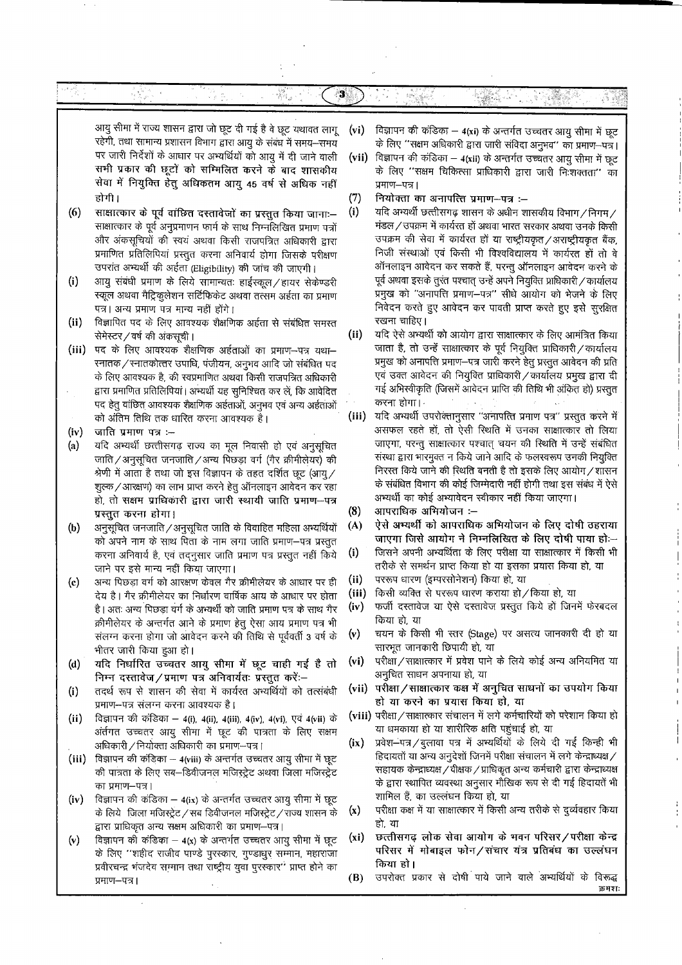#### ે ₩.

आयु सीमा में राज्य शासन द्वारा जो छूट दी गई है वे छूट यथावत लागू रहेगी, तथा सामान्य प्रशासन विभाग द्वारा आयु के संबंध में समय—समय पर जारी निर्देशों के आधार पर अभ्यर्थियों को आयु में दी जाने वाली सभी प्रकार की छूटों को सम्मिलित करने के बाद शासकीय सेवा में नियुक्ति हेतु अधिकतम आयु 45 वर्ष से अधिक नहीं होगी।

Vije M

 $(6)$ साक्षात्कार के पूर्व वांछित दस्तावेजों का प्रस्तुत किया जाना:– साक्षात्कार के पूर्व अनुप्रमाणन फार्म के साथ निम्नलिखित प्रमाण पत्रों और अंकसूचियों की स्वयं अथवा किसी राजपत्रित अधिकारी द्वारा प्रमाणित प्रतिलिपियां प्रस्तुत करना अनिवार्य होगा जिसके परीक्षण उपरांत अभ्यर्थी की अर्हता (Eligibility) की जांच की जाएगी।

- आयु संबंधी प्रमाण के लिये सामान्यतः हाईस्कूल / हायर सेकेण्डरी  $(i)$ स्कूल अथवा मैट्रिकुलेशन सर्टिफिकेट अथवा तत्सम अर्हता का प्रमाण पत्र। अन्य प्रमाण पत्र मान्य नहीं होंगे।
- $(ii)$ विज्ञापित पद के लिए आवश्यक शैक्षणिक अर्हता से संबंधित समस्त सेमेस्टर/वर्ष की अंकसूची।
- (iii) पद के लिए आवश्यक शैक्षणिक अर्हताओं का प्रमाण-पत्र यथा-रनातक / रनातकोत्तर उपाधि, पंजीयन, अनुभव आदि जो संबंधित पद के लिए आवश्यक है, की स्वप्रमाणित अथवा किसी राजपत्रित अधिकारी द्वारा प्रमाणित प्रतिलिपियां। अभ्यर्थी यह सुनिश्चित कर लें, कि आवेदित पद हेतु वांछित आवश्यक शैक्षणिक अर्हताओं, अनुभव एवं अन्य अर्हताओं को अंतिम तिथि तक धारित करना आवश्यक है।
- जाति प्रमाण पत्र :- $(iv)$
- $(a)$ यदि अभ्यर्थी छत्तीसगढ़ राज्य का मूल निवासी हो एवं अनुसूचित जाति / अनुसूचित जनजाति / अन्य पिछड़ा वर्ग (गैर क्रीमीलेयर) की श्रेणी में आता है तथा जो इस विज्ञापन के तहत दर्शित छूट (आयु / शुल्क/आरक्षण) का लाभ प्राप्त करने हेतु ऑनलाइन आवेदन कर रहा हो, तो सक्षम प्राधिकारी द्वारा जारी स्थायी जाति प्रमाण-पत्र प्रस्तुत करना होगा।
- $(b)$ अनुसूचित जनजाति / अनुसूचित जाति के विवाहित महिला अभ्यर्थियों को अपने नाम के साथ पिता के नाम लगा जाति प्रमाण-पत्र प्रस्तुत करना अनिवार्य है, एवं तदनुसार जाति प्रमाण पत्र प्रस्तुत नहीं किये जाने पर इसे मान्य नहीं किया जाएगा।
- $(c)$ अन्य पिछड़ा वर्ग को आरक्षण केवल गैर क्रीमीलेयर के आधार पर ही देय है। गैर क्रीमीलेयर का निर्धारण वार्षिक आय के आधार पर होता है। अतः अन्य पिछड़ा वर्ग के अभ्यर्थी को जाति प्रमाण पत्र के साथ गैर क्रीमीलेयर के अन्तर्गत आने के प्रमाण हेतु ऐसा आय प्रमाण पत्र भी संलग्न करना होगा जो आवेदन करने की तिथि से पूर्ववर्ती 3 वर्ष के भीतर जारी किया हुआ हो।
- यदि निर्धारित उच्चतर आयु सीमा में छूट चाही गई है तो  $(d)$ निम्न दस्तावेज/प्रमाण पत्र अनिवार्यतः प्रस्तुत करें:-
- $(i)$ तदर्थ रूप से शासन की सेवा में कार्यरत अभ्यर्थियों को तत्संबंधी प्रमाण--पत्र संलग्न करना आवश्यक है।
- $(ii)$ विज्ञापन की कंडिका – 4(i), 4(ii), 4(iii), 4(iv), 4(vi), एवं 4(vii) के अंर्तगत उच्चतर आयु सीमा में छूट की पात्रता के लिए सक्षम अधिकारी / नियोक्ता अधिकारी का प्रमाण--पत्र।
- (iii) विज्ञापन की कंडिका 4(viii) के अन्तर्गत उच्चतर आयु सीमा में छूट की पात्रता के लिए सब–डिवीजनल मजिस्ट्रेट अथवा जिला मजिस्ट्रेट का प्रमाण-पत्र।
- विज्ञापन की कंडिका 4(ix) के अन्तर्गत उच्चतर आयु सीमा में छूट  $(iv)$ के लिये) जिला मजिस्ट्रेट / सब डिवीजनल मजिस्ट्रेट / राज्य शासन के द्वारा प्राधिकृत अन्य सक्षम अधिकारी का प्रमाण–पत्र।
- विज्ञापन की कंडिका 4(x) के अन्तर्गत उच्चतर आयु सीमा में छूट  $(v)$ के लिए ''शहीद राजीव पाण्डे पुरस्कार, गुण्डाधुर सम्मान, महाराजा प्रवीरचन्द्र भंजदेव सम्मान तथा राष्ट्रीय युवा पुरस्कार'' प्राप्त होने का प्रमाण–पत्र।

विज्ञापन की कंडिका – 4(xi) के अन्तर्गत उच्चतर आयु सीमा में छूट  $(v_i)$ के लिए ''सक्षम अधिकारी द्वारा जारी संविदा अनुभव'' का प्रमाण–पत्र।

돌렸다.

7. 대해주

ू हैं ,

- (vii) विज्ञापन की कंडिका 4(xii) के अन्तर्गत उच्चतर आयु सीमा में छूट के लिए "सक्षम चिकित्सा प्राधिकारी द्वारा जारी निःशक्तता" का प्रमाण-पत्र।
- नियोक्ता का अनापत्ति प्रमाण-पत्र :- $(7)$
- यदि अभ्यर्थी छत्तीसगढ़ शासन के अधीन शासकीय विभाग / निगम /  $(i)$ मंडल / उपक्रम में कार्यरत हों अथवा भारत सरकार अथवा उनके किसी उपक्रम की सेवा में कार्यरत हो या राष्ट्रीयकृत/अराष्ट्रीयकृत बैंक, निजी संस्थाओं एवं किसी भी विश्वविद्यालय में कार्यरत हों तो वे ऑनलाइन आवेदन कर सकते हैं, परन्तु ऑनलाइन आवेदन करने के पूर्व अथवा इसके तुरंत पश्चात् उन्हें अपने नियुक्ति प्राधिकारी / कार्यालय प्रमुख को "अनापत्ति प्रमाण-पत्र" सीधे आयोग को भेजने के लिए निवेदन करते हुए आवेदन कर पावती प्राप्त करते हुए इसे सुरक्षित रखना चाहिए।
- $(ii)$ यदि ऐसे अभ्यर्थी को आयोग द्वारा साक्षात्कार के लिए आमंत्रित किया जाता है, तो उन्हें साक्षात्कार के पूर्व नियुक्ति प्राधिकारी / कार्यालय प्रमुख को अनापत्ति प्रमाण-पत्र जारी करने हेतु प्रस्तुत आवेदन की प्रति एवं उक्त आवेदन की नियुक्ति प्राधिकारी / कार्यालय प्रमुख द्वारा दी गई अभिस्वीकृति (जिसमें आवेदन प्राप्ति की तिथि भी अंकित हो) प्रस्तुत करना होगा।
- (iii) यदि अभ्यर्थी उपरोक्तानुसार "अनापत्ति प्रमाण पत्र" प्रस्तुत करने में असफल रहते हों, तो ऐसी स्थिति में उनका साक्षात्कार तो लिया जाएगा, परन्तु साक्षात्कार पश्चात् चयन की स्थिति में उन्हें संबंधित संस्था द्वारा भारमुक्त न किये जाने आदि के फलस्वरूप उनकी नियुक्ति निरस्त किये जाने की स्थिति बनती है तो इसके लिए आयोग/शासन के संबंधित विभाग की कोई जिम्मेदारी नहीं होगी तथा इस संबंध में ऐसे अभ्यर्थी का कोई अभ्यावेदन स्वीकार नहीं किया जाएगा।
- आपराधिक अभियोजन :-- $(8)$
- ऐसे अभ्यर्थी को आपराधिक अभियोजन के लिए दोषी ठहराया  $(A)$ जाएगा जिसे आयोग ने निम्नलिखित के लिए दोषी पाया हो:--
- जिसने अपनी अभ्यर्थिता के लिए परीक्षा या साक्षात्कार में किसी भी  $(i)$ तरीके से समर्थन प्राप्त किया हो या इसका प्रयास किया हो, या
- $(ii)$ पररूप धारण (इम्परसोनेशन) किया हो, या
- $(iii)$ किसी व्यक्ति से पररूप धारण कराया हो / किया हो, या
- फर्जी दस्तावेज या ऐसे दस्तावेज प्रस्तुत किये हों जिनमें फेरबदल  $(iv)$ किया हो, या
- चयन के किसी भी स्तर (Stage) पर असत्य जानकारी दी हो या  $(v)$ सारभूत जानकारी छिपायी हो, या
- परीक्षा / साक्षात्कार में प्रवेश पाने के लिये कोई अन्य अनियमित या  $(vi)$ अनुचित साधन अपनाया हो, या
- (vii) परीक्षा / साक्षात्कार कक्ष में अनुचित साधनों का उपयोग किया हो या करने का प्रयास किया हो, या
- (viii) परीक्षा/साक्षात्कार संचालन में लगे कर्मचारियों को परेशान किया हो या धमकाया हो या शारीरिक क्षति पहुंचाई हो, या
- प्रवेश-पत्र/बुलावा पत्र में अभ्यर्थियों के लिये दी गई किन्ही भी  $(ix)$ हिदायतों या अन्य अनुदेशों जिनमें परीक्षा संचालन में लगे केन्द्राध्यक्ष / सहायक केन्द्राध्यक्ष / वीक्षक / प्राधिकृत अन्य कर्मचारी द्वारा केन्द्राध्यक्ष के द्वारा स्थापित व्यवस्था अनुसार मौखिक रूप से दी गई हिदायतें भी शामिल हैं, का उल्लंघन किया हो, या
- परीक्षा कक्ष में या साक्षात्कार में किसी अन्य तरीके से दुर्व्यवहार किया  $(x)$ हो. या
- छत्तीसगढ़ लोक सेवा आयोग के भवन परिसर/परीक्षा केन्द्र  $(x_i)$ परिसर में मोबाइल फोन/संचार यंत्र प्रतिबंध का उल्लंघन किया हो।
- उपरोक्त प्रकार से दोषी पाये जाने वाले अभ्यर्थियों के विरूद्ध (B)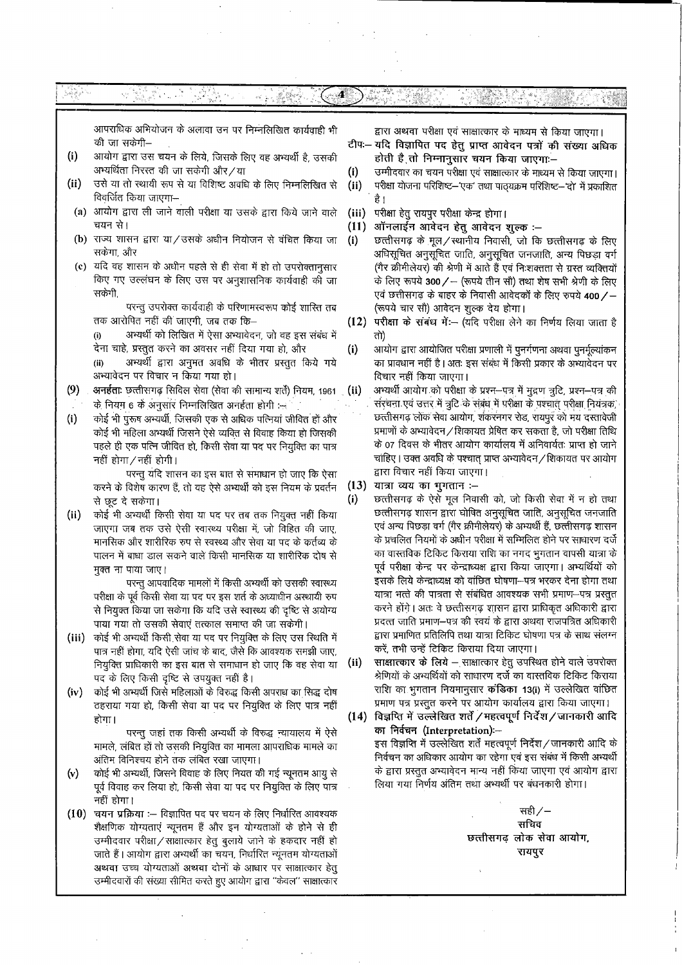|       | आपराधिक अभियोजन के अलावा उन पर निम्नलिखित कार्यवाही भी                                                                            |                         | द्वारा अथवा परीक्षा एवं साक्षात्कार के माध्यम से किया जाएगा।                                                                                  |
|-------|-----------------------------------------------------------------------------------------------------------------------------------|-------------------------|-----------------------------------------------------------------------------------------------------------------------------------------------|
|       | की जा सकेगी–                                                                                                                      |                         | टीपः— यदि विज्ञापित पद हेतु प्राप्त आवेदन पत्रों की संख्या अधिक                                                                               |
| (i)   | आयोग द्वारा उस चयन के लिये, जिसके लिए वह अभ्यर्थी है, उसकी<br>अभ्यर्थिता निरस्त की जा सकेगी और/या                                 | (i)                     | होती है तो निम्नानुसार चयन किया जाएगा:-<br>उम्मीदवार का चयन परीक्षा एवं साक्षात्कार के माध्यम से किया जाएगा।                                  |
| (ii)  | उसे या तो स्थायी रूप से या विशिष्ट अवधि के लिए निम्नलिखित से<br>विवर्जित किया जाएगा–                                              | (ii)                    | परीक्षा योजना परिशिष्ट-'एक' तथा पाठ्यक्रम परिशिष्ट-'दो' में प्रकाशित                                                                          |
|       | (a) आयोग द्वारा ली जाने वाली परीक्षा या उसके द्वारा किये जाने वाले                                                                | (iii)                   | परीक्षा हेतु रायपुर परीक्षा केन्द्र होगा।                                                                                                     |
|       | चयन से।<br>(b) राज्य शासन द्वारा या/उसके अधीन नियोजन से वंचित किया जा                                                             | (11)<br>(i)             | ऑनलाईन आवेदन हेतु आवेदन शुल्क :–<br>छत्तीसगढ़ के मूल/स्थानीय निवासी, जो कि छत्तीसगढ़ के लिए                                                   |
|       | सकेंगा, और                                                                                                                        |                         | अधिसूचित अनुसूचित जाति, अनुसूचित जनजाति, अन्य पिछड़ा वर्ग                                                                                     |
|       | (c) यदि वह शासन के अधीन पहले से ही सेवा में हो तो उपरोक्तानुसार                                                                   |                         | (गैर क्रीमीलेयर) की श्रेणी में आते हैं एवं निःशक्तता से ग्रस्त व्यक्तियों                                                                     |
|       | किए गए उल्लंघन के लिए उस पर अनुशासनिक कार्यवाही की जा<br>सकेगी.                                                                   |                         | के लिए रूपये 300 / - (रूपये तीन सौ) तथा शेष सभी श्रेणी के लिए<br>एवं छत्तीसगढ़ के बाहर के निवासी आवेदकों के लिए रुपये 400/ –                  |
|       | परन्तु उपरोक्त कार्यवाही के परिणामस्वरूप कोई शारित तब                                                                             |                         | (रूपये चार सौ) आवेदन शुल्क देय होगा।                                                                                                          |
|       | तक आरोपित नहीं की जाएगी, जब तक कि–                                                                                                | (12)                    | परीक्षा के सबंध में:- (यदि परीक्षा लेने का निर्णय लिया जाता है                                                                                |
|       | अभ्यर्थी को लिखित में ऐसा अभ्यावेदन, जो वह इस संबंध में<br>(i)                                                                    |                         | तो)                                                                                                                                           |
|       | देना चाहे, प्रस्तुत करने का अवसर नहीं दिया गया हो, और<br>अभ्यर्थी द्वारा अनुमत अवधि के भीतर प्रस्तुत किये गये<br>(ii)             | (i)                     | आयोग द्वारा आयोजित परीक्षा प्रणाली में पुनर्गणना अथवा पुनर्मूल्यांकन<br>का प्रावधान नहीं है। अतः इस संबंध में किसी प्रकार के अभ्यावेदन पर     |
|       | अभ्यावेदन पर विचार न किया गया हो।                                                                                                 |                         | विचार नहीं किया जाएगा।                                                                                                                        |
| (9)   | अनर्हताः छत्तीसगढ़ सिविल सेवा (सेवा की सामान्य शर्ते) नियम, 1961                                                                  | $\dot{\mathbf{u}}$ (ii) | अभ्यर्थी आयोग को परीक्षा के प्रश्न-पत्र में मुद्रण त्रुटि, प्रश्न-पत्र की                                                                     |
| (i)   | के नियम 6 के अनुसार निम्नलिखित अनर्हता होगी :-<br>कोई भी पुरूष अभ्यर्थी, जिसकी एक से अधिक पत्निया जीवित हों और                    |                         | संरचना एवं उत्तर में त्रुटि के संबंध में परीक्षा के पश्चात् परीक्षा नियंत्रक,<br>छत्तीसगढ़ लोक सेवा आयोग, शंकरनगर रोड, रायपुर को मय दस्तावेजी |
|       | कोई भी महिला अभ्यर्थी जिसने ऐसे व्यक्ति से विवाह किया हो जिसकी                                                                    |                         | प्रमाणों के अभ्यावेदन / शिकायत प्रेषित कर सकता है, जो परीक्षा तिथि                                                                            |
|       | पहले ही एक पत्नि जीवित हो, किसी सेवा या पद पर नियुक्ति का पात्र                                                                   |                         | के 07 दिवस के भीतर आयोग कार्यालय में अनिवार्यतः प्राप्त हो जाने                                                                               |
|       | नहीं होगा/नहीं होगी।                                                                                                              |                         | चाहिए। उक्त अवधि के पश्चात् प्राप्त अभ्यावेदन/शिकायत पर आयोग<br>द्वारा विचार नहीं किया जाएगा।                                                 |
|       | परन्तु यदि शासन का इस बात से समाधान हो जाए कि ऐसा<br>करने के विशेष कारण हैं, तो वह ऐसे अभ्यर्थी को इस नियम के प्रवर्तन            | (13)                    | यात्रा व्यय का भुगतान :--                                                                                                                     |
|       | से छूट दे सकेगा।                                                                                                                  | (i)                     | छत्तीसगढ़ के ऐसे मूल निवासी को, जो किसी सेवा में न हो तथा                                                                                     |
| (ii)  | कोई भी अभ्यर्थी किसी सेवा या पद पर तब तक नियुक्त नहीं किया                                                                        |                         | छत्तीसगढ़ शासन द्वारा घोषित अनुसूचित जाति, अनुसूचित जनजाति<br>एवं अन्य पिछड़ा वर्ग (गैर क्रीमीलेयर) के अभ्यर्थी हैं, छत्तीसगढ़ शासन           |
|       | जाएगा जब तक उसे ऐसी स्वास्थ्य परीक्षा में, जो विहित की जाए,<br>मानसिक और शारीरिक रुप से स्वस्थ्य और सेवा या पद के कर्तव्य के      |                         | के प्रचलित नियमों के अधीन परीक्षा में सम्मिलित होने पर साधारण दर्जे                                                                           |
|       | पालन में बाधा डाल सकने वाले किसी मानसिक या शारीरिक दोष से                                                                         |                         | का वास्तविक टिकिट किराया राशि का नगद भुगतान वापसी यात्रा के                                                                                   |
|       | मुक्त ना पाया जाए।                                                                                                                |                         | पूर्व परीक्षा केन्द्र पर केन्द्राध्यक्ष द्वारा किया जाएगा। अभ्यर्थियों को                                                                     |
|       | परन्तु आपवादिक मामलों में किसी अभ्यर्थी को उसकी स्वास्थ्य<br>परीक्षा के पूर्व किसी सेवा या पद पर इस शर्त के अध्याधीन अस्थायी रुप  |                         | इसके लिये केन्द्राध्यक्ष को वांछित घोषणा--पत्र भरकर देना होगा तथा<br>यात्रा भत्ते की पात्रता से संबंधित आवश्यक सभी प्रमाण–पत्र प्रस्तुत       |
|       | से नियुक्त किया जा सकेगा कि यदि उसे स्वास्थ्य की दृष्टि से अयोग्य                                                                 |                         | करने होंगे। अतः वे छत्तीसगढ़ शासन द्वारा प्राधिकृत अधिकारी द्वारा                                                                             |
|       | पाया गया तो उसकी सेवाएं तत्काल समाप्त की जा सकेगी।                                                                                |                         | प्रदत्त जाति प्रमाण–पत्र की स्वयं के द्वारा अथवा राजपत्रित अधिकारी                                                                            |
| (iii) | कोई भी अभ्यर्थी किसी सेवा या पद पर नियुक्ति के लिए उस स्थिति में                                                                  |                         | द्वारा प्रमाणित प्रतिलिपि तथा यात्रा टिकिट घोषणा पत्र के साथ संलग्न<br>करें, तभी उन्हें टिकिट किराया दिया जाएगा।                              |
|       | पात्र नहीं होगा, यदि ऐसी जांच के बाद, जैसे कि आवश्यक समझी जाए,<br>नियुक्ति प्राधिकारी का इस बात से समाधान हो जाए कि वह सेवा या    | (ii)                    | साक्षात्कार के लिये – साक्षात्कार हेतु उपस्थित होने वाले उपरोक्त                                                                              |
|       | पद के लिए किसी दृष्टि से उपयुक्त नहीं है।                                                                                         |                         | श्रेणियों के अभ्यर्थियों को साधारण दर्जे का वास्तविक टिकिट किराया                                                                             |
| (iv)  | कोई भी अभ्यर्थी जिसे महिलाओं के विरुद्ध किसी अपराध का सिद्ध दोष                                                                   |                         | राशि का भुगतान नियमानुसार कंडिका 13(i) में उल्लेखित वांछित<br>प्रमाण पत्र प्रस्तुत करने पर आयोग कार्यालय द्वारा किया जाएगा।                   |
|       | ठहराया गया हो, किसी सेवा या पद पर नियुक्ति के लिए पात्र नहीं<br>होगा ।                                                            | (14)                    | विज्ञप्ति में उल्लेखित शर्तें / महत्वपूर्ण निर्देश / जानकारी आदि                                                                              |
|       | परन्तु जहां तक किसी अभ्यर्थी के विरुद्ध न्यायालय में ऐसे                                                                          |                         | का निर्वचन (Interpretation):-                                                                                                                 |
|       | मामले, लंबित हों तो उसकी नियुक्ति का मामला आपराधिक मामले का                                                                       |                         | इस विज्ञप्ति में उल्लेखित शर्ते महत्वपूर्ण निर्देश/जानकारी आदि के<br>निर्वचन का अधिकार आयोग का रहेगा एवं इस संबंध में किसी अभ्यर्थी           |
| (v)   | अंतिम विनिश्चय होने तक लंबित रखा जाएगा।<br>कोई भी अभ्यर्थी, जिसने विवाह के लिए नियत की गई न्यूनतम आयु से                          |                         | के द्वारा प्रस्तुत अभ्यावेदन मान्य नहीं किया जाएगा एवं आयोग द्वारा                                                                            |
|       | पूर्व विवाह कर लिया हो, किसी सेवा या पद पर नियुक्ति के लिए पात्र                                                                  |                         | लिया गया निर्णय अंतिम तथा अभ्यर्थी पर बंधनकारी होगा।                                                                                          |
|       | नहीं होगा।                                                                                                                        |                         | सही ⁄ –                                                                                                                                       |
| (10)  | चयन प्रक्रिया :-- विज्ञापित पद पर चयन के लिए निर्धारित आवश्यक<br>शैक्षणिक योग्यताएं न्यूनतम हैं और इन योग्यताओं के होने से ही     |                         | सचिव                                                                                                                                          |
|       | उम्मीदवार परीक्षा / साक्षात्कार हेतु बुलाये जाने के हकदार नहीं हो                                                                 |                         | छत्तीसगढ़ लोक सेवा आयोग,                                                                                                                      |
|       | जाते हैं। आयोग द्वारा अभ्यर्थी का चयन, निर्धारित न्यूनतम योग्यताओं                                                                |                         | रायपुर                                                                                                                                        |
|       | अथवा उच्च योग्यताओं अथवा दोनों के आधार पर साक्षात्कार हेतु<br>उम्मीदवारों की संख्या सीमित करते हुए आयोग द्वारा "केवल" साक्षात्कार |                         |                                                                                                                                               |
|       |                                                                                                                                   |                         |                                                                                                                                               |

 $\ddot{\phantom{0}}$ 

 $\ddot{\phantom{0}}$  $\sim$ 

 $\ddot{\phantom{0}}$ 

 $\sim$ 

 $\ddot{\phantom{0}}$ 

 $\frac{1}{2}$ 

 $\overline{1}$ 

 $\hat{\boldsymbol{\beta}}$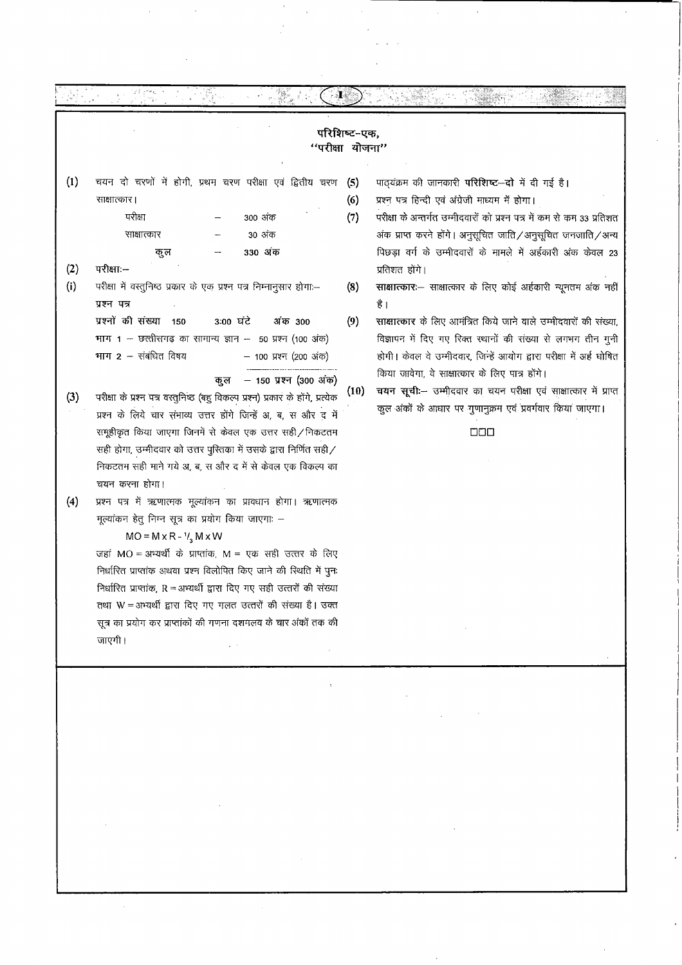| परिशिष्ट-एक,<br>"परीक्षा योजना" |                                                                                                                                                                                                                                                                                                                                                                                                                                                                                                                               |                   |                                                                                                                                                                                                                                                                                                                                       |  |  |  |  |
|---------------------------------|-------------------------------------------------------------------------------------------------------------------------------------------------------------------------------------------------------------------------------------------------------------------------------------------------------------------------------------------------------------------------------------------------------------------------------------------------------------------------------------------------------------------------------|-------------------|---------------------------------------------------------------------------------------------------------------------------------------------------------------------------------------------------------------------------------------------------------------------------------------------------------------------------------------|--|--|--|--|
| (1)<br>(2)                      | चयन दो चरणों में होगी, प्रथम चरण परीक्षा एवं द्वितीय चरण<br>साक्षात्कार।<br>परीक्षा<br>300 अंक<br>30 अंक<br>साक्षात्कार<br>330 अंक<br>कुल<br>परीक्षा:--                                                                                                                                                                                                                                                                                                                                                                       | (5)<br>(6)<br>(7) | पाठ्यक्रम की जानकारी परिशिष्ट-दो में दी गई है।<br>प्रश्न पत्र हिन्दी एवं अंग्रेजी माध्यम में होगा।<br>परीक्षा के अन्तर्गत उम्मीदवारों को प्रश्न पत्र में कम से कम 33 प्रतिशत<br>अंक प्राप्त करने होंगे। अनुसूचित जाति / अनुसूचित जनजाति / अन्य<br>पिछड़ा वर्ग के उम्मीदवारों के मामले में अर्हकारी अंक केवल 23<br>प्रतिशत होंगे।      |  |  |  |  |
| (i)                             | परीक्षा में वस्तुनिष्ठ प्रकार के एक प्रश्न पत्र निम्नानुसार होगा:-<br>प्रश्न पत्र<br>प्रश्नों की संख्या 150<br>3:00 घंटे<br>अंक 300<br>भाग $1 -$ छत्तीसगढ़ का सामान्य ज्ञान -- 50 प्रश्न (100 अंक)<br>भाग 2 - संबंधित विषय<br>- 100 प्रश्न (200 अंक)                                                                                                                                                                                                                                                                          | (8)<br>(9)        | साक्षात्कारः- साक्षात्कार के लिए कोई अर्हकारी न्यूनतम अंक नहीं<br>है  <br>साक्षात्कार के लिए आमंत्रित किये जाने वाले उम्मीदवारों की संख्या,<br>विज्ञापन में दिए गए रिक्त स्थानों की संख्या से लगभग तीन गुनी<br>होगी। केवल वे उम्मीदवार, जिन्हें आयोग द्वारा परीक्षा में अर्ह घोषित<br>किया जावेगा, वे साक्षात्कार के लिए पात्र होंगे। |  |  |  |  |
| (3)                             | - 150 प्रश्न (300 अंक)<br>कूल<br>परीक्षा के प्रश्न पत्र वस्तुनिष्ठ (बहु विकल्प प्रश्न) प्रकार के होंगे, प्रत्येक<br>प्रश्न के लिये चार संभाव्य उत्तर होंगे जिन्हें अ, ब, स और द में<br>समूहीकृत किया जाएगा जिनमें से केवल एक उत्तर सही / निकटतम<br>सही होगा, उम्मीदवार को उत्तर पुरितका में उसके द्वारा निर्णित सही /<br>निकटतम सही माने गये अ, ब, स और द में से केवल एक विकल्प का<br>चयन करना होगा।                                                                                                                          | (10)              | चयन सूची :- उम्मीदवार का चयन परीक्षा एवं साक्षात्कार में प्राप्त<br>कुल अंकों के आधार पर गुणानुक्रम एवं प्रवर्गवार किया जाएगा।<br><b>DDD</b>                                                                                                                                                                                          |  |  |  |  |
| (4)                             | प्रश्न पत्र में ऋणात्मक मूल्यांकन का प्रावधान होगा। ऋणात्मक<br>मूल्यांकन हेतु निम्न सूत्र का प्रयोग किया जाएगाः –<br>$MO = M \times R - \frac{1}{3} M \times W$<br>जहां MO = अभ्यर्थी के प्राप्तांक, M = एक सही उत्तर के लिए<br>निर्धारित प्राप्तांक अथवा प्रश्न विलोपित किए जाने की स्थिति में पुनः<br>निर्धारित प्राप्तांक, R = अभ्यर्थी द्वारा दिए गए सही उत्तरों की संख्या<br>तथा W = अभ्यर्थी द्वारा दिए गए गलत उत्तरों की संख्या है। उक्त<br>सूत्र का प्रयोग कर प्राप्तांकों की गणना दशमलव के चार अंकों तक की<br>जाएगी। |                   |                                                                                                                                                                                                                                                                                                                                       |  |  |  |  |

 $\mathcal{A}$ 

 $\sim$ 

 $\sim$ 

 $\hat{\mathcal{A}}$ 

 $\hat{\boldsymbol{\beta}}$ 

 $\bar{z}$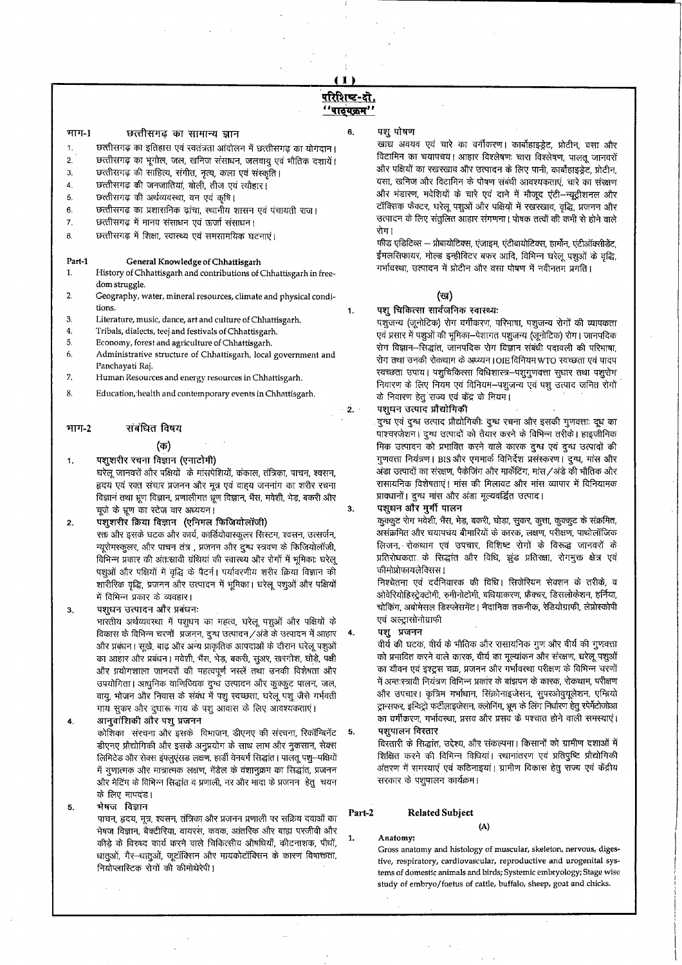# परिशिष्ट-दो. <u>''पाठ्यक्रम''</u>

6,

 $\mathbf{1}$ 

 $\cdot$  2.

 $3.$ 

 $\overline{4}$ .

#### माग-1 छत्तीसगढ का सामान्य ज्ञान

- $\mathbf{1}$ छत्तीसगढ़ का इतिहास एवं स्वतंत्रता आंदोलन में छत्तीसगढ़ का योगदान।
- छत्तीसगढ़ का भूगोल, जल, खनिज संसाधन, जलवायू एवं भौतिक दशायें।  $2.$
- छत्तीसगढ़ की साहित्य, संगीत, नृत्य, कला एवं संस्कृति। 3.
- छत्तीसगढ़ की जनजातियां, बोली, तीज एवं त्यौहार।  $\overline{4}$
- छत्तीसगढ़ की अर्थव्यवस्था, वन एवं कृषि। 5.
- छत्तीसगढ़ का प्रशासनिक ढ़ांचा, स्थानीय शासन एवं पंचायती राज। 6.
- छत्तीसगढ़ में मानव संसाधन एवं ऊर्जा संसाधन। 7.
- छत्तीसगढ़ में शिक्षा, स्वास्थ्य एवं समसामयिक घटनाएं। 8.

#### General Knowledge of Chhattisgarh Part-1

- $1.$ History of Chhattisgarh and contributions of Chhattisgarh in freedom struggle.
- $2.$ Geography, water, mineral resources, climate and physical conditions.
- 3. Literature, music, dance, art and culture of Chhattisgarh.
- $\bf{4}$ Tribals, dialects, teej and festivals of Chhattisgarh.
- $5.$ Economy, forest and agriculture of Chhattisgarh.
- Administrative structure of Chhattisgarh, local government and 6. Panchavati Rai.
- $\overline{z}$ Human Resources and energy resources in Chhattisgarh.
- 8. Education, health and contemporary events in Chhattisgarh.

#### भाग-2 संबंधित विषय

# (क)

पशुशरीर रचना विज्ञान (एनाटोमी)  $\mathbf 1$ 

घरेलू जानवरों और पक्षियों के मांसपेशियों, कंकाल, तंत्रिका, पाचन, श्वसन, हृदय एवं रक्त संचार प्रजनन और मूत्र एवं वाह्य जननांग का शरीर रचना विज्ञान तथा भ्रूण विज्ञान, प्रणालीगत भ्रूण विज्ञान, भैंस, मवेशी, भेड़, बकरी और चूजे के भ्रूण का स्टेज वार अध्ययन।

- पशुशरीर क्रिया विज्ञान (एनिमल फिजियोलॉजी)  $2.$ रक्त और इसके घटक और कार्य, कार्डियोवास्कूलर सिस्टम, श्वसन, उत्सर्जन, न्यूरोमस्कुलर, और पाचन तंत्र, प्रजनन और दुग्ध स्त्रवण के फिजियोलॉजी, विभिन्न प्रकार की अंतःस्रावी ग्रंथियां की स्वास्थ्य और रोगों में भूमिकाः घरेलू पशुओं और पक्षियों में वृद्धि के पैटर्न। पर्यावरणीय शरीर क्रिया विज्ञान की शारीरिक वृद्धि, प्रजनन और उत्पादन में भूमिका। घरेलू पशुओं और पक्षियों में विभिन्न प्रकार के व्यवहार।
- पशधन उत्पादन और प्रबंधनः  $3.$

भारतीय अर्थव्यवस्था में पशुधन का महत्व, घरेलू पशुओं और पक्षियों के विकास के विभिन्न चरणों प्रजनन, दुग्ध उत्पादन/अंडे के उत्पादन में आहार और प्रबंधन। सूखे, बाढ़ और अन्य प्राकृतिक आपदाओं के दौरान घरेलू पशुओं का आहार और प्रबंधन। मवेशी, भैंस, भेड़, बकरी, सुअर, खरगोश, घोड़े, पक्षी और प्रयोगशाला जानवरों की महत्वपूर्ण नस्लें तथा उनकी विशेषता और उपयोगिता। आधुनिक वाणिज्यिक दुग्ध उत्पादन और कुक्कुट पालन, जल, वायू, भोजन और निवास के संबंध में पशु रवच्छता, घरेलु पशु जैसे गर्भवती गाय सूकर और दूधारू गाय के पशु आवास के लिए आवश्यकताएं।

आनुवांशिकी और पशु प्रजनन  $\ddot{a}$ .

5.

कोशिका संरचना और इसके विभाजन, डीएनए की संरचना, रिकॉम्बिनेंट डीएनए प्रौद्योगिकी और इसके अनुप्रयोग के साथ लाभ और नुकसान, सेक्स लिमिटेड और सेक्स इंफ्लूएंसड लक्षण, हार्डी वेनबर्ग सिद्धांत। पालतू पशु-पक्षियों में गुणात्मक और मात्रात्मक लक्षण, मेंडेल के वंशानुक्रम का सिद्धांत, प्रजनन और मेटिंग के विभिन्न सिद्धांत व प्रणाली, नर और मादा के प्रजनन हेतु चयन के लिए मापदंड।

मेषज विज्ञान पाचन, हृदय, मूत्र, श्वसन, तंत्रिका और प्रजनन प्रणाली पर सक्रिय दवाओं का भेषज विज्ञान, बैक्टीरिया, वायरस, कवक, आंतरिक और बाह्य परजीवी और कीड़े के विरुध्द कार्य करने वाले चिकित्सीय औषधियाँ, कीटनाशक, पौधों, धातुओं, गैर-धातुओं, जूटॉक्सिन और मायकोटॉक्सिन के कारण विषाक्तता, नियोप्लास्टिक रोगों की कीमोथेरेपी।

# पशुपोषण

खाद्य अवयव एवं चारे का वर्गीकरण। कार्बोहाइड्रेट, प्रोटीन, वसा और विटामिन का चयापचय। आहार विश्लेषणः चारा विश्लेषण, पालतू जानवरों और पक्षियों का रखरखाव और उत्पादन के लिए पानी, कार्बोहाइड्रेट, प्रोटीन, वसा, खनिज और विटामिन के पोषण संबंधी आवश्यकताएं, चारे का संरक्षण और भंडारण, मवेशियों के चारे एवं दाने में मौजूद एंटी-न्यूट्रीशनल और टॉक्सिक फैक्टर, घरेलू पशुओं और पक्षियों में रखरखाव, वृद्धि, प्रजनन और उत्पादन के लिए संतुलित आहार संगणना। पोषक तत्वों की कमी से होने वाले रोग |

फीड एडिटिव्स -- प्रोबायोटिक्स, एंजाइम, एंटीबायोटिक्स, हार्मोन, एंटीऑक्सीडेंट, ईमलसिफायर, मोल्ड इन्हीबिटर बफर आदि, विभिन्न घरेलू पशुओं के वृद्धि, गर्भावस्था, उत्पादन में प्रोटीन और वसा पोषण में नवीनतम प्रगति।

# (ख)

# पशु चिकित्सा सार्वजनिक स्वास्थ्यः

पशुजन्य (जूनोटिक) रोग वर्गीकरण, परिभाषा, पशुजन्य रोगों की व्यापकता एवं प्रसार में पशुओं की भूमिका-पेशागत पशुजन्य (जूनोटिक) रोग। जानपदिक रोग विज्ञान-सिद्धांत, जानपदिक रोग विज्ञान संबंधी पदावली की परिभाषा, रोग तथा उनकी रोकथाम के अध्य्यन।OIE विनियम WTO स्वच्छता एवं पादप रवच्छता उपाय। पशुचिकित्सा विधिशास्त्र-पशुगुणवत्ता सुधार तथा पशुरोग निवारण के लिए नियम एवं विनियम-पशुजन्य एवं पशु उत्पाद जनित रोगों के निवारण हेतु राज्य एवं केंद्र के नियम।

# पशुधन उत्पाद प्रौद्योगिकी

दुग्ध एवं दुग्ध उत्पाद प्रौद्योगिकीः दुग्ध रचना और इसकी गुणवत्ताः दूध का पाश्चरजेशन। दुग्ध उत्पादों को तैयार करने के विभिन्न तरीके। हाइजीनिक मिक उत्पादन को प्रभावित करने वाले कारक दुग्ध एवं दुग्ध उत्पादों की गुणवत्ता नियंत्रण । BIS और एगमार्क विनिर्देश प्रसंस्करण । दुग्ध, मांस और अंडा उत्पादों का संरक्षण, पैकेजिंग और मार्केटिंग, मांस /अंडे की भौतिक और रासायनिक विशेषताएं। मांस की मिलावट और मांस व्यापार में विनियामक प्रावधानों। दुग्ध मास और अंडा मूल्यवर्द्धित उत्पाद।

# पशुधन और मुर्गी पालन

कुल्कुट रोग मर्वेशी, भैंस, भेड़, बकरी, घोड़ा, सुकर, कुत्ता, कुक्कुट के संक्रमित, असंक्रमित और चयापचय बीमारियों के कारक, लक्षण, परीक्षण, पाथोलॉजिक लिजन, रोकथाम एवं उपचार, विशिष्ट रोगों के विरूद्ध जानवरों के प्रतिरोधकता के सिद्धांत और विधि, झुंड प्रतिरक्षा, रोगमुक्त क्षेत्र एवं कीमोप्रोफायलेक्सिस।

निश्चेतना एवं दर्दनिवारक की विधि। सिजेरियन सेक्शन के तरीके, व ओवेरियोहिस्ट्रेक्टोमी, रुमीनोटोमी, बधियाकरण, फ्रैक्वर, डिसलोकेशन, हर्निया, चोकिंग, अबोमेसल डिस्प्लेसमेंट। नैदानिक तकनीक, रेडियोग्राफी, लेप्रोस्कोपी एवं अल्ट्रासोनोग्राफी

# पश प्रजनन

वीर्य की घटक, वीर्य के भौतिक और रासायनिक गूण और वीर्य की गूणवत्ता को प्रभावित करने वाले कारक, वीर्य का मूल्यांकन और संरक्षण, घरेलू पशुओं का यौवन एवं इश्ट्रस चक्र, प्रजनन और गर्भावस्था परीक्षण के विभिन्न चरणों में अन्तःस्त्रावी नियंत्रण विभिन्न प्रकार के बांझपन के कारक, रोकथाम, परीक्षण और उपचार। कृत्रिम गर्भाधान, सिंक्रोनाइजेसन, सुपरओवुयूलेशन, एम्ब्रियो ट्रान्सफर, इन्विट्रो फर्टीलाइजेसन, क्लोनिंग, भ्रूण के लिंग निर्धारण हेतु स्पेर्मेटोजोआ का वर्गीकरण, गर्भावस्था, प्रसव और प्रसव के पश्चात होने वाली समस्याएं।

पशुपालन विस्तार

विस्तारी के सिद्धांत, उद्देश्य, और संकल्पना। किसानों को ग्रामीण दशाओं में शिक्षित करने की विभिन्न विधियां। स्थानांतरण एवं प्रतिपुष्टि प्रौद्योगिकी अंतरण में समस्याएं एवं कठिनाइयां। ग्रामीण विकास हेतु राज्य एवं केंद्रीय सरकार के पशुपालन कार्यक्रम।

#### **Related Subject** Part-2

Anatomy:

Gross anatomy and histology of muscular, skeleton, nervous, digestive, respiratory, cardiovascular, reproductive and urogenital systems of domestic animals and birds; Systemic embryology; Stage wise study of embryo/foetus of cattle, buffalo, sheep, goat and chicks.

 $(A)$ 

5.

 $\mathbf{1}$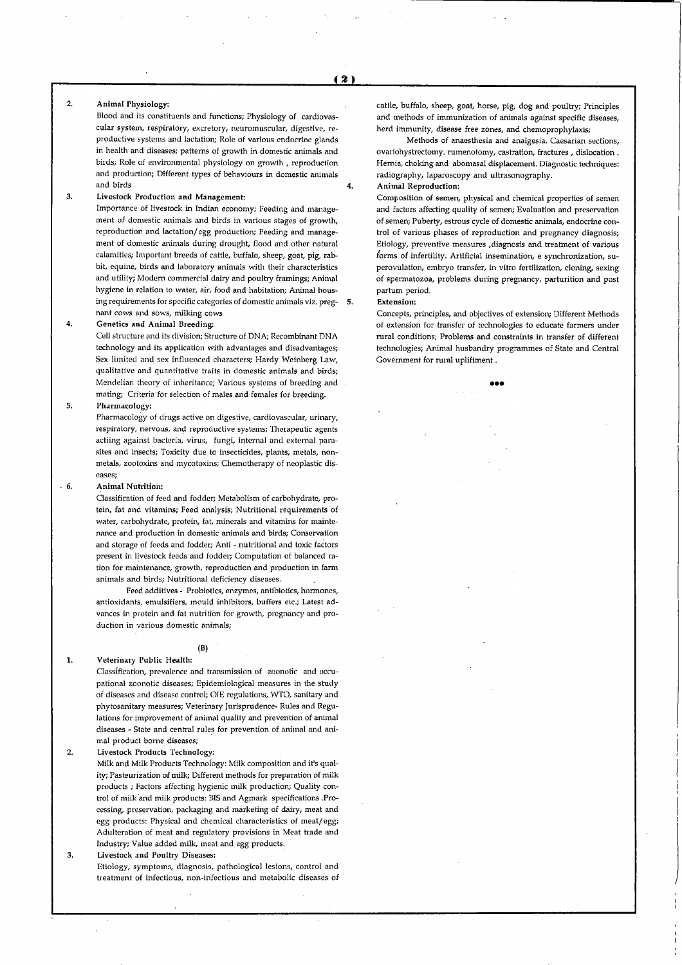$\ddot{4}$ 

#### $2,$ Animal Physiology;

Blood and its constituents and functions; Physiology of cardiovas cular system, respiratory, excretory, neuromuscular, digestive, re productive systems and lactation; Role of various endocrine glands in health and diseases; patterns of growth in domestic animals and birds; Role of environmental physiology on growth , reproduction and production; Different types of behaviours in domestic animals and birds

#### 3. Livestock Production and Management:

Importance of livestock in Indian economy; Feeding and manage ment of domestic animals and birds in various stages of growth, reproduction and lactation/egg production; Feeding and manage ment of domestic animals during drought, flood and other natural calamities; Important breeds of cattle, buffalo, sheep, goat, pig, rabbit, equine, birds and laboratory animals with their characteristics and utility; Modem commercial dairy and poultry framings; Animal hygiene in relation to water, air, food and habitation; Animal hous ing requirements for specific categories of domestic animals viz. preg nant cows and sows, milking cows

#### 4. Genetics and Animal Breeding:

Cell structure and its division; Structure of DNA; Recombinant DNA technology and its application with advantages and disadvantages; Sex limited and sex influenced characters; Hardy Weinberg Law, qualitative and quantitative traits in domestic animals and birds; Mendelian theory of inheritance; Various systems of breeding and mating; Criteria for selection of males and females for breeding.

#### 5. Pharmacology:

Pharmacology of drugs active on digestive, cardiovascular, urinary, respiratory, nervous, and reproductive systems; Therapeutic agents actiing against bacteria, virus, fungi, internal and external para sites and insects; Toxicity due to insecticides, plants, metals, nonmetals, zootoxins and mycotoxins; Chemotherapy of neoplastic dis eases;

#### $.6$ Animal Nutrition:

 $\mathbf{1}$ 

Classification of feed and fodder; Metabolism of carbohydrate, pro tein, fat and vitamins; Feed analysis; Nutritional requirements of water, carbohydrate, protein, fat, minerals and vitamins for mainte nance and production in domestic animals and birds; Conservation and storage of feeds and fodder; Anti - nutritional and toxic factors present in livestock feeds and fodder; Computation of balanced ra tion for maintenance, growth, reproduction and production in farm animals and birds; Nutritional deficiency diseases.

Feed additives - Probiotics, enzymes, antibiotics, hormones, antioxidants, emulsifiers, mould inhibitors, buffers etc.; Latest ad vances in protein and fat nutrition for growth, pregnancy and pro duction in various domestic animals;

# (B) Veterinary Public Health:

Classification, prevalence and transmission of zoonotic and occu pational zoonotic diseases; Epidemiological measures in the study of diseases and disease control; OIE regulations, WTO, sanitary and phytosanitary measures; Veterinary Jurisprudence- Rules and Regu lations for improvement of animal quality and prevention of animal diseases - State and central rules for prevention of animal and ani mal product borne diseases;

#### $\overline{2}$ Livestock Products Technology:

Milk and Milk Products Technology: Milk composition and it's qual ity; Pasteurization of milk; Different methods for preparation of milk products ; Factors affecting hygienic milk production; Quality con trol of milk and milk products: BIS and Agmark specifications .Pro cessing, preservation, packaging and marketing of dairy, meat and egg products: Physical and chemical characteristics of meat/egg; Adulteration of meat and regulatory provisions in Meat trade and Industry; Value added milk, meat and egg products.

#### 3. Livestock and Poultry Diseases:

Etiology, symptoms, diagnosis, pathological lesions, control and treatment of infectious, non-infectious and metabolic diseases of cattle, buffalo, sheep, goat, horse, pig, dog and poultry; Principles and methods of immunization of animals against specific diseases, herd immunity, disease free zones, and chemoprophylaxis;

Methods of anaesthesia and analgesia. Caesarian sections, ovariohystrectomy. rumenotomy, castration, fractures , dislocation . Hernia, choking and abomasal displacement. Diagnostic techniques: radiography, laparoscopy and ultrasonography.

## Animal Reproduction:

Composition of semen, physical and chemical properties of semen and factors affecting quality of semen; Evaluation and preservation of semen; Puberty, estrous cycle of domestic animals, endocrine con trol of various phases of reproduction and pregnancy diagnosis; Etiology, preventive measures ,diagnosis and treatment of various forms of infertility. Artificial insemination, e synchronization, superovulation, embryo transfer, in vitro fertilization, cloning, sexing of spermatozoa, problems during pregnancy, parturition and post partum period.

## Extension:

Concepts, principles, and objectives of extension; Different Methods of extension for transfer of technologies to educate farmers under rural conditions; Problems and constraints in transfer of different technologies; Animal husbandry programmes of State and Central Government for rural upliftment.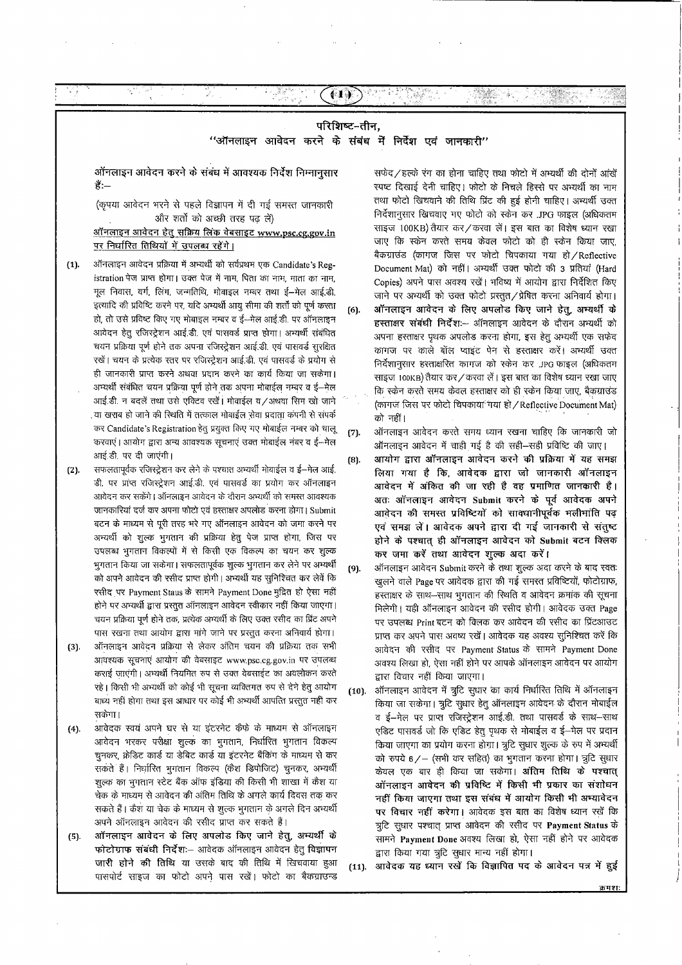# परिशिष्ट-तीन. "ऑनलाइन आवेदन करने के संबंध में निर्देश एवं जानकारी"

**717** 

in järit.<br>T

ऑनलाइन आवेदन करने के संबंध में आवश्यक निर्देश निम्नानुसार हैं:—

(कृपया आवेदन भरने से पहले विज्ञापन में दी गई समस्त जानकारी ओर शर्तों को अच्छी तरह पढ़ लें)

ऑनलाइन आवेदन हेतु सक्रिय लिंक वेबसाइट www.psc.cg.gov.in पर निर्धारित तिथियों में उपलब्ध रहेंगे।

- ऑनलाइन आवेदन प्रक्रिया में अभ्यर्थी को सर्वप्रथम एक Candidate's Reg- $(1).$ istration पेज प्राप्त होगा। उक्त पेज में नाम, पिता का नाम, माता का नाम, मूल निवास, वर्ग, लिंग, जन्मतिथि, मोबाइल नम्बर तथा ई-मेल आई.डी. इत्यादि की प्रविष्टि करने पर, यदि अभ्यर्थी आयु सीमा की शर्तों को पूर्ण करता हो, तो उसे प्रविष्ट किए गए मोबाइल नम्बर व ई-मेल आई.डी. पर ऑनलाइन आवेदन हेतु रजिरट्रेशन आई.डी. एवं पासवर्ड प्राप्त होगा। अभ्यर्थी संबंधित चयन प्रक्रिया पूर्ण होने तक अपना रजिस्ट्रेशन आई.डी. एवं पासवर्ड सुरक्षित रखें। चयन के प्रत्येक स्तर पर रजिस्ट्रेशन आई.डी. एवं पासवर्ड के प्रयोग से ही जानकारी प्राप्त करने अथवा प्रदान करने का कार्य किया जा सकेगा। अभ्यर्थी सबधित चयन प्रक्रिया पूर्ण होने तक अपना मोबाईल नम्बर व ई—मेल आई.डी. न बदलें तथा उसे एक्टिव रखें। मोबाईल व/अथवा सिम खो जाने या खराब हो जाने की स्थिति में तत्काल मोबाईल सेवा प्रदाता कंपनी से संपर्क कर Candidate's Registration हेतू प्रयुक्त किए गए मोबाईल नम्बर को चालू करवाएं। आयोग द्वारा अन्य आवश्यक सूचनाएं उक्त मोबाईल नंबर व ई-मेल आई.डी. पर दी जाएंगी।
- सफलतापूर्वक रजिस्ट्रेशन कर लेने के पश्चात अभ्यर्थी मोवाईल व ई-मेल आई.  $(2).$ डी. पर प्राप्त रजिस्ट्रेशन आई.डी. एवं पासवर्ड का प्रयोग कर ऑनलाइन आवेदन कर सकेंगे। ऑनलाइन आवेदन के दौरान अभ्यर्थी को समस्त आवश्यक जानकारियां दर्ज कर अपना फोटो एवं हरताक्षर अपलोड करना होगा। Submit बटन के माध्यम से पूरी तरह भरे गए ऑनलाइन आवेदन को जमा करने पर अभ्यर्थी को शुल्क भुगतान की प्रक्रिया हेतु पेज प्राप्त होगा, जिस पर उपलब्ध भूगतान विकल्पों में से किसी एक विकल्प का चयन कर शुल्क भुगतान किया जा सकेगा। सफलतापूर्वक शुल्क भुगतान कर लेने पर अभ्यर्थी को अपने आवेदन की रसीद प्राप्त होगी। अभ्यर्थी यह सुनिश्चित कर लेवें कि रसीद पर Payment Staus के सामने Payment Done मुद्रित हो ऐसा नहीं होने पर अभ्यर्थी द्वारा प्रस्तुत ऑनलाइन आवेदन स्वीकार नहीं किया जाएगा। चयन प्रक्रिया पूर्ण होने तक, प्रत्येक अभ्यर्थी के लिए उक्त रसीद का प्रिंट अपने पास रखना तथा आयोग द्वारा मांगे जाने पर प्रस्तुत करना अनिवार्य होगा।
- ऑनलाइन आवेदन प्रक्रिया से लेकर अंतिम चयन की प्रक्रिया तक सभी  $(3).$ आवश्यक सूचनाएं आयोग की वेबसाइट www.psc.cg.gov.in पर उपलब्ध कराई जाएंगी। अभ्यर्थी नियमित रुप से उक्त वेबसाईट का अवलोकन करते रहे। किसी भी अभ्यर्थी को कोई भी सूचना व्यक्तिगत रुप से देने हेतु आयोग बाध्य नहीं होगा तथा इस आधार पर कोई भी अभ्यर्थी आपत्ति प्रस्तुत नहीं कर सकेगा।
- आवेदक स्वयं अपने घर से या इंटरनेट कैफे के माध्यम से ऑनलाइन  $(4).$ आवेदन भरकर परीक्षा शुल्क का भुगतान, निर्धारित भुगतान विकल्प चुनकर, क्रेडिट कार्ड या डेबिट कार्ड या इंटरनेट बैंकिंग के माध्यम से कर सकते हैं। निर्धारित भुगतान विकल्प (केश डिपोजिट) चुनकर, अभ्यर्थी शुल्क का भुगतान स्टेट बैंक ऑफ इंडिया की किसी भी शाखा में कैश या चेक के माध्यम से आवेदन की अंतिम तिथि के अगले कार्य दिवस तक कर सकते हैं। कैश या चेक के माध्यम से शुल्क भूगतान के अगले दिन अभ्यर्थी अपने ऑनलाइन आवेदन की रसीद प्राप्त कर सकते हैं।
- ऑनलाइन आवेदन के लिए अपलोड किए जाने हेतु, अभ्यर्थी के  $(5)$ . फोटोग्राफ संबंधी निर्देश:- आवेदक ऑनलाइन आवेदन हेतु विज्ञापन जारी होने की तिथि या उसके बाद की तिथि में खिचवाया हुआ पासपोर्ट साइज का फोटो अपने पास रखें। फोटो का बैकग्राउन्ड

सफेद/हल्के रंग का होना चाहिए तथा फोटो में अभ्यर्थी की दोनों आंखें स्पष्ट दिखाई देनी चाहिए। फोटो के निचले हिस्से पर अभ्यर्थी का नाम तथा फोटो खिचवाने की तिथि प्रिंट की हुई होनी चाहिए। अभ्यर्थी उक्त निर्देशानुसार खिचवाए गए फोटो को स्केन कर .JPG फाइल (अधिकतम साइज 100KB) तैयार कर / करवा लें। इस बात का विशेष ध्यान रखा जाए कि स्केन करते समय केवल फोटो को ही स्केन किया जाए, बैकग्राउंड (कागज जिस पर फोटो चिपकाया गया हो/Reflective Document Mat) को नहीं। अभ्यर्थी उक्त फोटो की 3 प्रतियां (Hard Copies) अपने पास अवश्य रखें। भविष्य में आयोग द्वारा निर्देशित किए जाने पर अभ्यर्थी को उक्त फोटो प्रस्तुत/प्रेषित करना अनिवार्य होगा। ऑनलाइन आवेदन के लिए अपलोड किए जाने हेतू, अम्यर्थी के  $(6)$ हस्ताक्षर संबंधी निर्देश:-- ऑनलाइन आवेदन के दौरान अभ्यर्थी को अपना हस्ताक्षर पृथक अपलोड करना होगा, इस हेतु अभ्यर्थी एक सफेद कागज पर काले बॉल प्वाइंट पेन से हस्ताक्षर करें। अभ्यर्थी उक्त निर्देशानुसार हस्ताक्षरित कागज को स्केन कर .JPG फाइल (अधिकतम साइज 100KB) तैयार कर / करवा लें। इस बात का विशेष ध्यान रखा जाए कि स्केन करते समय केवल हस्ताक्षर को ही स्केन किया जाए, बैकग्राउंड (कागज जिस पर फोटो चिपकाया गया हो / Reflective Document Mat) को नहीं।

- ऑनलाइन आवेदन करते समय ध्यान रखना चाहिए कि जानकारी जो  $(7).$ ऑनलाइन आवेदन में चाही गई है की सही-सही प्रविष्टि की जाए।
- आयोग द्वारा ऑनलाइन आवेदन करने की प्रक्रिया में यह समझ  $(8)$ . लिया गया है कि, आवेदक द्वारा जो जानकारी ऑनलाइन आवेदन में अंकित की जा रही है वह प्रमाणित जानकारी है। अतः ऑनलाइन आवेदन Submit करने के पूर्व आवेदक अपने आवेदन की समस्त प्रविष्टियों को सावधानीपूर्वक भलीभांति पढ़ एवं समझ लें। आवेदक अपने द्वारा दी गई जानकारी से संतुष्ट होने के पश्चात् ही ऑनलाइन आवेदन को Submit बटन क्लिक कर जमा करें तथा आवेदन शुल्क अदा करें।
- ऑनलाइन आवेदन Submit करने के तथा शुल्क अदा करने के बाद स्वतः  $(9)$ . खुलने वाले Page पर आवेदक द्वारा की गई समस्त प्रविष्टियों, फोटोग्राफ, हस्ताक्षर के साथ-साथ भुगतान की स्थिति व आवेदन क्रमांक की सूचना मिलेगी। यही ऑनलाइन आवेदन की रसीद होगी। आवेदक उक्त Page पर उपलब्ध Print बटन को क्लिक कर आवेदन की रसीद का प्रिंटआउट प्राप्त कर अपने पास अवष्य रखें। आवेदक यह अवश्य सुनिश्चित करें कि आवेदन की रसीद पर Payment Status के सामने Payment Done अवश्य लिखा हो, ऐसा नहीं होने पर आपके ऑनलाइन आवेदन पर आयोग द्वारा विचार नहीं किया जाएगा।
- ऑनलाइन आवेदन में त्रुटि सुधार का कार्य निर्धारित तिथि में ऑनलाइन  $(10)$ किया जा सकेगा। त्रुटि सुधार हेतु ऑनलाइन आवेदन के दौरान मोबाईल व ई-मेल पर प्राप्त रजिस्ट्रेशन आई.डी. तथा पासवर्ड के साथ-साथ एडिट पासवर्ड जो कि एडिट हेतू पृथक से मोबाईल व ई—मेल पर प्रदान किया जाएगा का प्रयोग करना होगा। त्रुटि सुधार शुल्क के रुप में अभ्यर्थी को रुपये 6/- (सभी कर सहित) का भुगतान करना होगा। त्रुटि सुधार केवल एक बार ही किया जा सकेगा। अंतिम तिथि के पश्चात् ऑनलाइन आवेदन की प्रविष्टि में किसी भी प्रकार का संशोधन नहीं किया जाएगा तथा इस संबंध में आयोग किसी भी अभ्यावेदन पर विचार नहीं करेगा। आवेदक इस बात का विशेष ध्यान रखें कि त्रूटि सुधार पश्चात् प्राप्त आवेदन की रसीद पर Payment Status के सामने Payment Done अवश्य लिखा हो, ऐसा नहीं होने पर आवेदक द्वारा किया गया त्रुटि सुधार मान्य नहीं होगा।
- आवेदक यह ध्यान रखें कि विज्ञापित पद के आवेदन पत्र में हुई  $(11).$